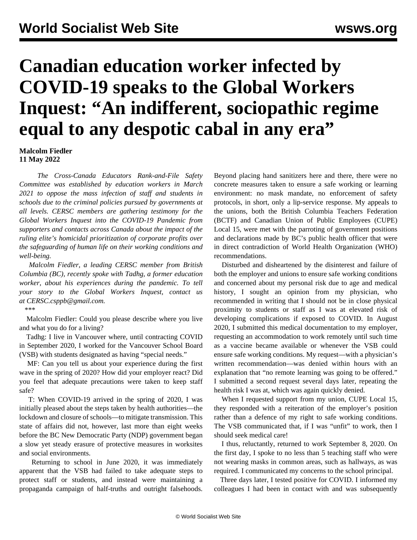## **Canadian education worker infected by COVID-19 speaks to the Global Workers Inquest: "An indifferent, sociopathic regime equal to any despotic cabal in any era"**

**Malcolm Fiedler 11 May 2022**

 *The Cross-Canada Educators Rank-and-File Safety Committee was established by education workers in March 2021 to oppose the mass infection of staff and students in schools due to the criminal policies pursued by governments at all levels. CERSC members are gathering testimony for the Global Workers Inquest into the COVID-19 Pandemic from supporters and contacts across Canada about the impact of the ruling elite's homicidal prioritization of corporate profits over the safeguarding of human life on their working conditions and well-being.*

 *Malcolm Fiedler, a leading CERSC member from British Columbia (BC), recently spoke with Tadhg, a former education worker, about his experiences during the pandemic. To tell your story to the Global Workers Inquest, contact us at [CERSC.csppb@gmail.com](mailto:CERSC.csppb@gmail.com).*

\*\*\*

 Malcolm Fiedler: Could you please describe where you live and what you do for a living?

 Tadhg: I live in Vancouver where, until contracting COVID in September 2020, I worked for the Vancouver School Board (VSB) with students designated as having "special needs."

 MF: Can you tell us about your experience during the first wave in the spring of 2020? How did your employer react? Did you feel that adequate precautions were taken to keep staff safe?

 T: When COVID-19 arrived in the spring of 2020, I was initially pleased about the steps taken by health authorities—the lockdown and closure of schools—to mitigate transmission. This state of affairs did not, however, last more than eight weeks before the BC New Democratic Party (NDP) government began a slow yet steady erasure of protective measures in worksites and social environments.

 Returning to school in June 2020, it was immediately apparent that the VSB had failed to take adequate steps to protect staff or students, and instead were maintaining a propaganda campaign of half-truths and outright falsehoods. Beyond placing hand sanitizers here and there, there were no concrete measures taken to ensure a safe working or learning environment: no mask mandate, no enforcement of safety protocols, in short, only a lip-service response. My appeals to the unions, both the British Columbia Teachers Federation (BCTF) and Canadian Union of Public Employees (CUPE) Local 15, were met with the parroting of government positions and declarations made by BC's public health officer that were in direct contradiction of World Health Organization (WHO) recommendations.

 Disturbed and disheartened by the disinterest and failure of both the employer and unions to ensure safe working conditions and concerned about my personal risk due to age and medical history, I sought an opinion from my physician, who recommended in writing that I should not be in close physical proximity to students or staff as I was at elevated risk of developing complications if exposed to COVID. In August 2020, I submitted this medical documentation to my employer, requesting an accommodation to work remotely until such time as a vaccine became available or whenever the VSB could ensure safe working conditions. My request—with a physician's written recommendation—was denied within hours with an explanation that "no remote learning was going to be offered." I submitted a second request several days later, repeating the health risk I was at, which was again quickly denied.

 When I requested support from my union, CUPE Local 15, they responded with a reiteration of the employer's position rather than a defence of my right to safe working conditions. The VSB communicated that, if I was "unfit" to work, then I should seek medical care!

 I thus, reluctantly, returned to work September 8, 2020. On the first day, I spoke to no less than 5 teaching staff who were not wearing masks in common areas, such as hallways, as was required. I communicated my concerns to the school principal.

 Three days later, I tested positive for COVID. I informed my colleagues I had been in contact with and was subsequently